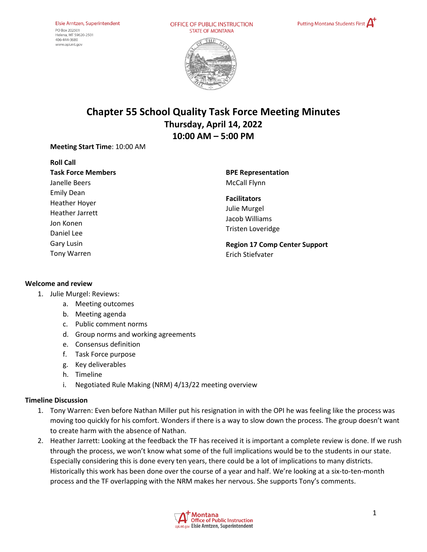OFFICE OF PUBLIC INSTRUCTION **STATE OF MONTANA** 





# **Chapter 55 School Quality Task Force Meeting Minutes Thursday, April 14, 2022 10:00 AM – 5:00 PM**

**Meeting Start Time**: 10:00 AM

**Roll Call Task Force Members** Janelle Beers Emily Dean Heather Hoyer Heather Jarrett Jon Konen Daniel Lee Gary Lusin Tony Warren

**BPE Representation**  McCall Flynn

**Facilitators**  Julie Murgel Jacob Williams Tristen Loveridge

**Region 17 Comp Center Support** Erich Stiefvater

#### **Welcome and review**

- 1. Julie Murgel: Reviews:
	- a. Meeting outcomes
	- b. Meeting agenda
	- c. Public comment norms
	- d. Group norms and working agreements
	- e. Consensus definition
	- f. Task Force purpose
	- g. Key deliverables
	- h. Timeline
	- i. Negotiated Rule Making (NRM) 4/13/22 meeting overview

#### **Timeline Discussion**

- 1. Tony Warren: Even before Nathan Miller put his resignation in with the OPI he was feeling like the process was moving too quickly for his comfort. Wonders if there is a way to slow down the process. The group doesn't want to create harm with the absence of Nathan.
- 2. Heather Jarrett: Looking at the feedback the TF has received it is important a complete review is done. If we rush through the process, we won't know what some of the full implications would be to the students in our state. Especially considering this is done every ten years, there could be a lot of implications to many districts. Historically this work has been done over the course of a year and half. We're looking at a six-to-ten-month process and the TF overlapping with the NRM makes her nervous. She supports Tony's comments.

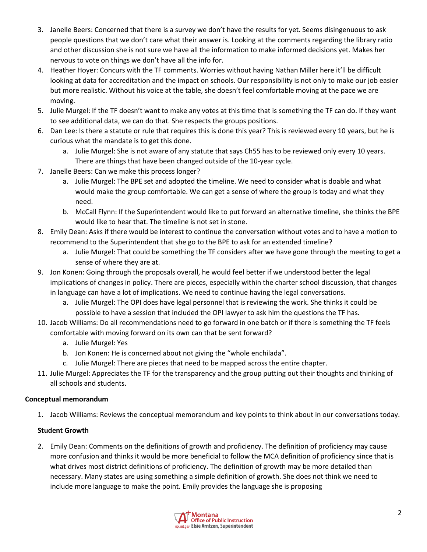- 3. Janelle Beers: Concerned that there is a survey we don't have the results for yet. Seems disingenuous to ask people questions that we don't care what their answer is. Looking at the comments regarding the library ratio and other discussion she is not sure we have all the information to make informed decisions yet. Makes her nervous to vote on things we don't have all the info for.
- 4. Heather Hoyer: Concurs with the TF comments. Worries without having Nathan Miller here it'll be difficult looking at data for accreditation and the impact on schools. Our responsibility is not only to make our job easier but more realistic. Without his voice at the table, she doesn't feel comfortable moving at the pace we are moving.
- 5. Julie Murgel: If the TF doesn't want to make any votes at this time that is something the TF can do. If they want to see additional data, we can do that. She respects the groups positions.
- 6. Dan Lee: Is there a statute or rule that requires this is done this year? This is reviewed every 10 years, but he is curious what the mandate is to get this done.
	- a. Julie Murgel: She is not aware of any statute that says Ch55 has to be reviewed only every 10 years. There are things that have been changed outside of the 10-year cycle.
- 7. Janelle Beers: Can we make this process longer?
	- a. Julie Murgel: The BPE set and adopted the timeline. We need to consider what is doable and what would make the group comfortable. We can get a sense of where the group is today and what they need.
	- b. McCall Flynn: If the Superintendent would like to put forward an alternative timeline, she thinks the BPE would like to hear that. The timeline is not set in stone.
- 8. Emily Dean: Asks if there would be interest to continue the conversation without votes and to have a motion to recommend to the Superintendent that she go to the BPE to ask for an extended timeline?
	- a. Julie Murgel: That could be something the TF considers after we have gone through the meeting to get a sense of where they are at.
- 9. Jon Konen: Going through the proposals overall, he would feel better if we understood better the legal implications of changes in policy. There are pieces, especially within the charter school discussion, that changes in language can have a lot of implications. We need to continue having the legal conversations.
	- a. Julie Murgel: The OPI does have legal personnel that is reviewing the work. She thinks it could be possible to have a session that included the OPI lawyer to ask him the questions the TF has.
- 10. Jacob Williams: Do all recommendations need to go forward in one batch or if there is something the TF feels comfortable with moving forward on its own can that be sent forward?
	- a. Julie Murgel: Yes
	- b. Jon Konen: He is concerned about not giving the "whole enchilada".
	- c. Julie Murgel: There are pieces that need to be mapped across the entire chapter.
- 11. Julie Murgel: Appreciates the TF for the transparency and the group putting out their thoughts and thinking of all schools and students.

# **Conceptual memorandum**

1. Jacob Williams: Reviews the conceptual memorandum and key points to think about in our conversations today.

# **Student Growth**

2. Emily Dean: Comments on the definitions of growth and proficiency. The definition of proficiency may cause more confusion and thinks it would be more beneficial to follow the MCA definition of proficiency since that is what drives most district definitions of proficiency. The definition of growth may be more detailed than necessary. Many states are using something a simple definition of growth. She does not think we need to include more language to make the point. Emily provides the language she is proposing

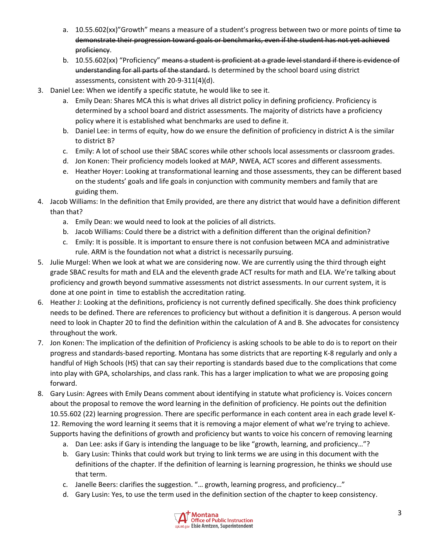- a. 10.55.602(xx)"Growth" means a measure of a student's progress between two or more points of time to demonstrate their progression toward goals or benchmarks, even if the student has not yet achieved proficiency.
- b. 10.55.602(xx) "Proficiency" means a student is proficient at a grade level standard if there is evidence of understanding for all parts of the standard. Is determined by the school board using district assessments, consistent with 20-9-311(4)(d).
- 3. Daniel Lee: When we identify a specific statute, he would like to see it.
	- a. Emily Dean: Shares MCA this is what drives all district policy in defining proficiency. Proficiency is determined by a school board and district assessments. The majority of districts have a proficiency policy where it is established what benchmarks are used to define it.
	- b. Daniel Lee: in terms of equity, how do we ensure the definition of proficiency in district A is the similar to district B?
	- c. Emily: A lot of school use their SBAC scores while other schools local assessments or classroom grades.
	- d. Jon Konen: Their proficiency models looked at MAP, NWEA, ACT scores and different assessments.
	- e. Heather Hoyer: Looking at transformational learning and those assessments, they can be different based on the students' goals and life goals in conjunction with community members and family that are guiding them.
- 4. Jacob Williams: In the definition that Emily provided, are there any district that would have a definition different than that?
	- a. Emily Dean: we would need to look at the policies of all districts.
	- b. Jacob Williams: Could there be a district with a definition different than the original definition?
	- c. Emily: It is possible. It is important to ensure there is not confusion between MCA and administrative rule. ARM is the foundation not what a district is necessarily pursuing.
- 5. Julie Murgel: When we look at what we are considering now. We are currently using the third through eight grade SBAC results for math and ELA and the eleventh grade ACT results for math and ELA. We're talking about proficiency and growth beyond summative assessments not district assessments. In our current system, it is done at one point in time to establish the accreditation rating.
- 6. Heather J: Looking at the definitions, proficiency is not currently defined specifically. She does think proficiency needs to be defined. There are references to proficiency but without a definition it is dangerous. A person would need to look in Chapter 20 to find the definition within the calculation of A and B. She advocates for consistency throughout the work.
- 7. Jon Konen: The implication of the definition of Proficiency is asking schools to be able to do is to report on their progress and standards-based reporting. Montana has some districts that are reporting K-8 regularly and only a handful of High Schools (HS) that can say their reporting is standards based due to the complications that come into play with GPA, scholarships, and class rank. This has a larger implication to what we are proposing going forward.
- 8. Gary Lusin: Agrees with Emily Deans comment about identifying in statute what proficiency is. Voices concern about the proposal to remove the word learning in the definition of proficiency. He points out the definition 10.55.602 (22) learning progression. There are specific performance in each content area in each grade level K-12. Removing the word learning it seems that it is removing a major element of what we're trying to achieve. Supports having the definitions of growth and proficiency but wants to voice his concern of removing learning
	- a. Dan Lee: asks if Gary is intending the language to be like "growth, learning, and proficiency…"?
	- b. Gary Lusin: Thinks that could work but trying to link terms we are using in this document with the definitions of the chapter. If the definition of learning is learning progression, he thinks we should use that term.
	- c. Janelle Beers: clarifies the suggestion. "… growth, learning progress, and proficiency…"
	- d. Gary Lusin: Yes, to use the term used in the definition section of the chapter to keep consistency.

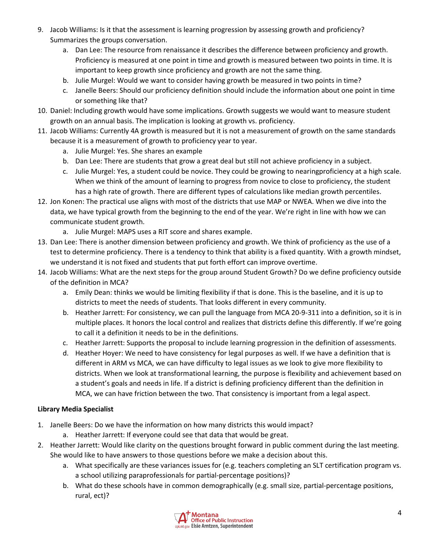- 9. Jacob Williams: Is it that the assessment is learning progression by assessing growth and proficiency? Summarizes the groups conversation.
	- a. Dan Lee: The resource from renaissance it describes the difference between proficiency and growth. Proficiency is measured at one point in time and growth is measured between two points in time. It is important to keep growth since proficiency and growth are not the same thing.
	- b. Julie Murgel: Would we want to consider having growth be measured in two points in time?
	- c. Janelle Beers: Should our proficiency definition should include the information about one point in time or something like that?
- 10. Daniel: Including growth would have some implications. Growth suggests we would want to measure student growth on an annual basis. The implication is looking at growth vs. proficiency.
- 11. Jacob Williams: Currently 4A growth is measured but it is not a measurement of growth on the same standards because it is a measurement of growth to proficiency year to year.
	- a. Julie Murgel: Yes. She shares an example
	- b. Dan Lee: There are students that grow a great deal but still not achieve proficiency in a subject.
	- c. Julie Murgel: Yes, a student could be novice. They could be growing to nearingproficiency at a high scale. When we think of the amount of learning to progress from novice to close to proficiency, the student has a high rate of growth. There are different types of calculations like median growth percentiles.
- 12. Jon Konen: The practical use aligns with most of the districts that use MAP or NWEA. When we dive into the data, we have typical growth from the beginning to the end of the year. We're right in line with how we can communicate student growth.
	- a. Julie Murgel: MAPS uses a RIT score and shares example.
- 13. Dan Lee: There is another dimension between proficiency and growth. We think of proficiency as the use of a test to determine proficiency. There is a tendency to think that ability is a fixed quantity. With a growth mindset, we understand it is not fixed and students that put forth effort can improve overtime.
- 14. Jacob Williams: What are the next steps for the group around Student Growth? Do we define proficiency outside of the definition in MCA?
	- a. Emily Dean: thinks we would be limiting flexibility if that is done. This is the baseline, and it is up to districts to meet the needs of students. That looks different in every community.
	- b. Heather Jarrett: For consistency, we can pull the language from MCA 20-9-311 into a definition, so it is in multiple places. It honors the local control and realizes that districts define this differently. If we're going to call it a definition it needs to be in the definitions.
	- c. Heather Jarrett: Supports the proposal to include learning progression in the definition of assessments.
	- d. Heather Hoyer: We need to have consistency for legal purposes as well. If we have a definition that is different in ARM vs MCA, we can have difficulty to legal issues as we look to give more flexibility to districts. When we look at transformational learning, the purpose is flexibility and achievement based on a student's goals and needs in life. If a district is defining proficiency different than the definition in MCA, we can have friction between the two. That consistency is important from a legal aspect.

# **Library Media Specialist**

- 1. Janelle Beers: Do we have the information on how many districts this would impact?
	- a. Heather Jarrett: If everyone could see that data that would be great.
- 2. Heather Jarrett: Would like clarity on the questions brought forward in public comment during the last meeting. She would like to have answers to those questions before we make a decision about this.
	- a. What specifically are these variances issues for (e.g. teachers completing an SLT certification program vs. a school utilizing paraprofessionals for partial-percentage positions)?
	- b. What do these schools have in common demographically (e.g. small size, partial-percentage positions, rural, ect)?

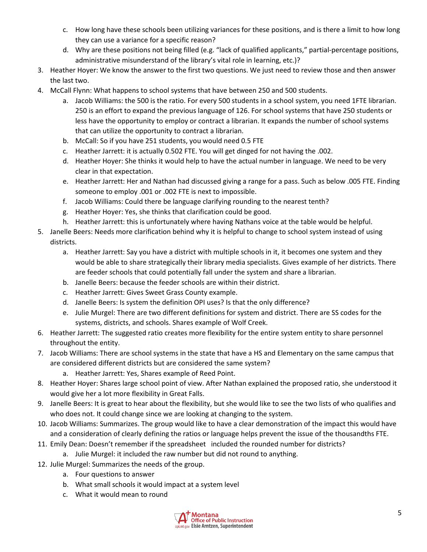- c. How long have these schools been utilizing variances for these positions, and is there a limit to how long they can use a variance for a specific reason?
- d. Why are these positions not being filled (e.g. "lack of qualified applicants," partial-percentage positions, administrative misunderstand of the library's vital role in learning, etc.)?
- 3. Heather Hoyer: We know the answer to the first two questions. We just need to review those and then answer the last two.
- 4. McCall Flynn: What happens to school systems that have between 250 and 500 students.
	- a. Jacob Williams: the 500 is the ratio. For every 500 students in a school system, you need 1FTE librarian. 250 is an effort to expand the previous language of 126. For school systems that have 250 students or less have the opportunity to employ or contract a librarian. It expands the number of school systems that can utilize the opportunity to contract a librarian.
	- b. McCall: So if you have 251 students, you would need 0.5 FTE
	- c. Heather Jarrett: it is actually 0.502 FTE. You will get dinged for not having the .002.
	- d. Heather Hoyer: She thinks it would help to have the actual number in language. We need to be very clear in that expectation.
	- e. Heather Jarrett: Her and Nathan had discussed giving a range for a pass. Such as below .005 FTE. Finding someone to employ .001 or .002 FTE is next to impossible.
	- f. Jacob Williams: Could there be language clarifying rounding to the nearest tenth?
	- g. Heather Hoyer: Yes, she thinks that clarification could be good.
	- h. Heather Jarrett: this is unfortunately where having Nathans voice at the table would be helpful.
- 5. Janelle Beers: Needs more clarification behind why it is helpful to change to school system instead of using districts.
	- a. Heather Jarrett: Say you have a district with multiple schools in it, it becomes one system and they would be able to share strategically their library media specialists. Gives example of her districts. There are feeder schools that could potentially fall under the system and share a librarian.
	- b. Janelle Beers: because the feeder schools are within their district.
	- c. Heather Jarrett: Gives Sweet Grass County example.
	- d. Janelle Beers: Is system the definition OPI uses? Is that the only difference?
	- e. Julie Murgel: There are two different definitions for system and district. There are SS codes for the systems, districts, and schools. Shares example of Wolf Creek.
- 6. Heather Jarrett: The suggested ratio creates more flexibility for the entire system entity to share personnel throughout the entity.
- 7. Jacob Williams: There are school systems in the state that have a HS and Elementary on the same campus that are considered different districts but are considered the same system?
	- a. Heather Jarrett: Yes, Shares example of Reed Point.
- 8. Heather Hoyer: Shares large school point of view. After Nathan explained the proposed ratio, she understood it would give her a lot more flexibility in Great Falls.
- 9. Janelle Beers: It is great to hear about the flexibility, but she would like to see the two lists of who qualifies and who does not. It could change since we are looking at changing to the system.
- 10. Jacob Williams: Summarizes. The group would like to have a clear demonstration of the impact this would have and a consideration of clearly defining the ratios or language helps prevent the issue of the thousandths FTE.
- 11. Emily Dean: Doesn't remember if the spreadsheet included the rounded number for districts?
	- a. Julie Murgel: it included the raw number but did not round to anything.
- 12. Julie Murgel: Summarizes the needs of the group.
	- a. Four questions to answer
	- b. What small schools it would impact at a system level
	- c. What it would mean to round

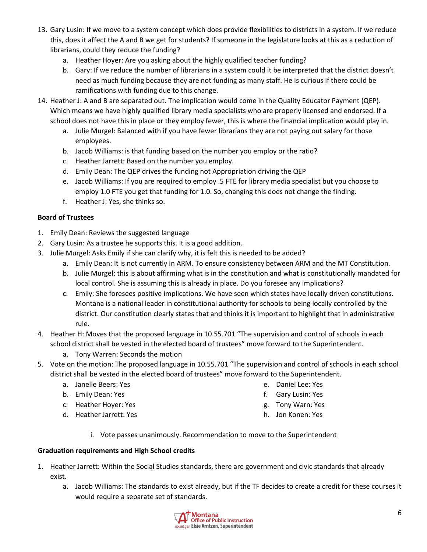- 13. Gary Lusin: If we move to a system concept which does provide flexibilities to districts in a system. If we reduce this, does it affect the A and B we get for students? If someone in the legislature looks at this as a reduction of librarians, could they reduce the funding?
	- a. Heather Hoyer: Are you asking about the highly qualified teacher funding?
	- b. Gary: If we reduce the number of librarians in a system could it be interpreted that the district doesn't need as much funding because they are not funding as many staff. He is curious if there could be ramifications with funding due to this change.
- 14. Heather J: A and B are separated out. The implication would come in the Quality Educator Payment (QEP). Which means we have highly qualified library media specialists who are properly licensed and endorsed. If a school does not have this in place or they employ fewer, this is where the financial implication would play in.
	- a. Julie Murgel: Balanced with if you have fewer librarians they are not paying out salary for those employees.
	- b. Jacob Williams: is that funding based on the number you employ or the ratio?
	- c. Heather Jarrett: Based on the number you employ.
	- d. Emily Dean: The QEP drives the funding not Appropriation driving the QEP
	- e. Jacob Williams: If you are required to employ .5 FTE for library media specialist but you choose to employ 1.0 FTE you get that funding for 1.0. So, changing this does not change the finding.
	- f. Heather J: Yes, she thinks so.

### **Board of Trustees**

- 1. Emily Dean: Reviews the suggested language
- 2. Gary Lusin: As a trustee he supports this. It is a good addition.
- 3. Julie Murgel: Asks Emily if she can clarify why, it is felt this is needed to be added?
	- a. Emily Dean: It is not currently in ARM. To ensure consistency between ARM and the MT Constitution.
	- b. Julie Murgel: this is about affirming what is in the constitution and what is constitutionally mandated for local control. She is assuming this is already in place. Do you foresee any implications?
	- c. Emily: She foresees positive implications. We have seen which states have locally driven constitutions. Montana is a national leader in constitutional authority for schools to being locally controlled by the district. Our constitution clearly states that and thinks it is important to highlight that in administrative rule.
- 4. Heather H: Moves that the proposed language in 10.55.701 "The supervision and control of schools in each school district shall be vested in the elected board of trustees" move forward to the Superintendent.
	- a. Tony Warren: Seconds the motion
- 5. Vote on the motion: The proposed language in 10.55.701 "The supervision and control of schools in each school district shall be vested in the elected board of trustees" move forward to the Superintendent.
	- a. Janelle Beers: Yes
	- b. Emily Dean: Yes
	- c. Heather Hoyer: Yes
	- d. Heather Jarrett: Yes
- e. Daniel Lee: Yes
- f. Gary Lusin: Yes
- g. Tony Warn: Yes
- h. Jon Konen: Yes
- i. Vote passes unanimously. Recommendation to move to the Superintendent

### **Graduation requirements and High School credits**

- 1. Heather Jarrett: Within the Social Studies standards, there are government and civic standards that already exist.
	- a. Jacob Williams: The standards to exist already, but if the TF decides to create a credit for these courses it would require a separate set of standards.

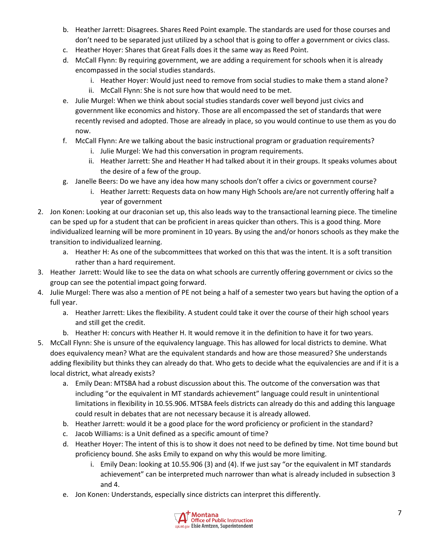- b. Heather Jarrett: Disagrees. Shares Reed Point example. The standards are used for those courses and don't need to be separated just utilized by a school that is going to offer a government or civics class.
- c. Heather Hoyer: Shares that Great Falls does it the same way as Reed Point.
- d. McCall Flynn: By requiring government, we are adding a requirement for schools when it is already encompassed in the social studies standards.
	- i. Heather Hoyer: Would just need to remove from social studies to make them a stand alone?
	- ii. McCall Flynn: She is not sure how that would need to be met.
- e. Julie Murgel: When we think about social studies standards cover well beyond just civics and government like economics and history. Those are all encompassed the set of standards that were recently revised and adopted. Those are already in place, so you would continue to use them as you do now.
- f. McCall Flynn: Are we talking about the basic instructional program or graduation requirements?
	- i. Julie Murgel: We had this conversation in program requirements.
	- ii. Heather Jarrett: She and Heather H had talked about it in their groups. It speaks volumes about the desire of a few of the group.
- g. Janelle Beers: Do we have any idea how many schools don't offer a civics or government course?
	- i. Heather Jarrett: Requests data on how many High Schools are/are not currently offering half a year of government
- 2. Jon Konen: Looking at our draconian set up, this also leads way to the transactional learning piece. The timeline can be sped up for a student that can be proficient in areas quicker than others. This is a good thing. More individualized learning will be more prominent in 10 years. By using the and/or honors schools as they make the transition to individualized learning.
	- a. Heather H: As one of the subcommittees that worked on this that was the intent. It is a soft transition rather than a hard requirement.
- 3. Heather Jarrett: Would like to see the data on what schools are currently offering government or civics so the group can see the potential impact going forward.
- 4. Julie Murgel: There was also a mention of PE not being a half of a semester two years but having the option of a full year.
	- a. Heather Jarrett: Likes the flexibility. A student could take it over the course of their high school years and still get the credit.
	- b. Heather H: concurs with Heather H. It would remove it in the definition to have it for two years.
- 5. McCall Flynn: She is unsure of the equivalency language. This has allowed for local districts to demine. What does equivalency mean? What are the equivalent standards and how are those measured? She understands adding flexibility but thinks they can already do that. Who gets to decide what the equivalencies are and if it is a local district, what already exists?
	- a. Emily Dean: MTSBA had a robust discussion about this. The outcome of the conversation was that including "or the equivalent in MT standards achievement" language could result in unintentional limitations in flexibility in 10.55.906. MTSBA feels districts can already do this and adding this language could result in debates that are not necessary because it is already allowed.
	- b. Heather Jarrett: would it be a good place for the word proficiency or proficient in the standard?
	- c. Jacob Williams: is a Unit defined as a specific amount of time?
	- d. Heather Hoyer: The intent of this is to show it does not need to be defined by time. Not time bound but proficiency bound. She asks Emily to expand on why this would be more limiting.
		- i. Emily Dean: looking at 10.55.906 (3) and (4). If we just say "or the equivalent in MT standards achievement" can be interpreted much narrower than what is already included in subsection 3 and 4.
	- e. Jon Konen: Understands, especially since districts can interpret this differently.

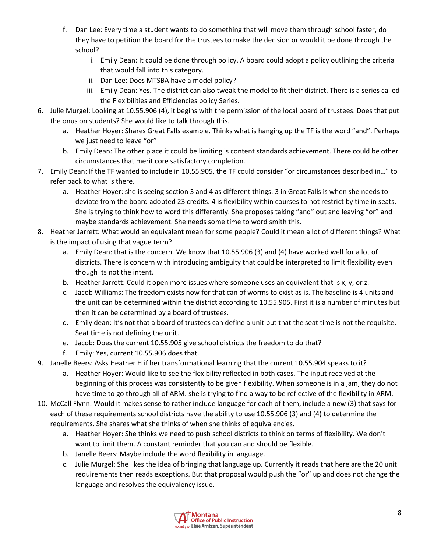- f. Dan Lee: Every time a student wants to do something that will move them through school faster, do they have to petition the board for the trustees to make the decision or would it be done through the school?
	- i. Emily Dean: It could be done through policy. A board could adopt a policy outlining the criteria that would fall into this category.
	- ii. Dan Lee: Does MTSBA have a model policy?
	- iii. Emily Dean: Yes. The district can also tweak the model to fit their district. There is a series called the Flexibilities and Efficiencies policy Series.
- 6. Julie Murgel: Looking at 10.55.906 (4), it begins with the permission of the local board of trustees. Does that put the onus on students? She would like to talk through this.
	- a. Heather Hoyer: Shares Great Falls example. Thinks what is hanging up the TF is the word "and". Perhaps we just need to leave "or"
	- b. Emily Dean: The other place it could be limiting is content standards achievement. There could be other circumstances that merit core satisfactory completion.
- 7. Emily Dean: If the TF wanted to include in 10.55.905, the TF could consider "or circumstances described in…" to refer back to what is there.
	- a. Heather Hoyer: she is seeing section 3 and 4 as different things. 3 in Great Falls is when she needs to deviate from the board adopted 23 credits. 4 is flexibility within courses to not restrict by time in seats. She is trying to think how to word this differently. She proposes taking "and" out and leaving "or" and maybe standards achievement. She needs some time to word smith this.
- 8. Heather Jarrett: What would an equivalent mean for some people? Could it mean a lot of different things? What is the impact of using that vague term?
	- a. Emily Dean: that is the concern. We know that 10.55.906 (3) and (4) have worked well for a lot of districts. There is concern with introducing ambiguity that could be interpreted to limit flexibility even though its not the intent.
	- b. Heather Jarrett: Could it open more issues where someone uses an equivalent that is x, y, or z.
	- c. Jacob Williams: The freedom exists now for that can of worms to exist as is. The baseline is 4 units and the unit can be determined within the district according to 10.55.905. First it is a number of minutes but then it can be determined by a board of trustees.
	- d. Emily dean: It's not that a board of trustees can define a unit but that the seat time is not the requisite. Seat time is not defining the unit.
	- e. Jacob: Does the current 10.55.905 give school districts the freedom to do that?
	- f. Emily: Yes, current 10.55.906 does that.
- 9. Janelle Beers: Asks Heather H if her transformational learning that the current 10.55.904 speaks to it?
	- a. Heather Hoyer: Would like to see the flexibility reflected in both cases. The input received at the beginning of this process was consistently to be given flexibility. When someone is in a jam, they do not have time to go through all of ARM. she is trying to find a way to be reflective of the flexibility in ARM.
- 10. McCall Flynn: Would it makes sense to rather include language for each of them, include a new (3) that says for each of these requirements school districts have the ability to use 10.55.906 (3) and (4) to determine the requirements. She shares what she thinks of when she thinks of equivalencies.
	- a. Heather Hoyer: She thinks we need to push school districts to think on terms of flexibility. We don't want to limit them. A constant reminder that you can and should be flexible.
	- b. Janelle Beers: Maybe include the word flexibility in language.
	- c. Julie Murgel: She likes the idea of bringing that language up. Currently it reads that here are the 20 unit requirements then reads exceptions. But that proposal would push the "or" up and does not change the language and resolves the equivalency issue.

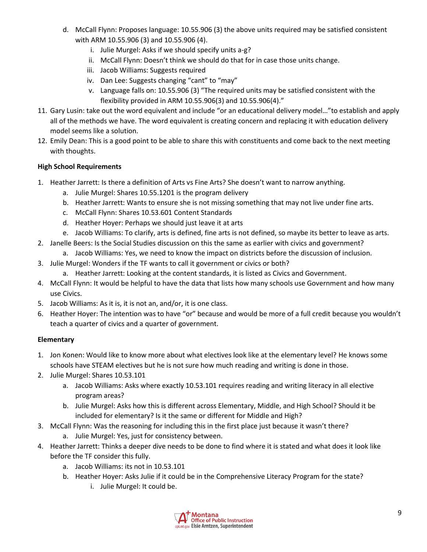- d. McCall Flynn: Proposes language: 10.55.906 (3) the above units required may be satisfied consistent with ARM 10.55.906 (3) and 10.55.906 (4).
	- i. Julie Murgel: Asks if we should specify units a-g?
	- ii. McCall Flynn: Doesn't think we should do that for in case those units change.
	- iii. Jacob Williams: Suggests required
	- iv. Dan Lee: Suggests changing "cant" to "may"
	- v. Language falls on: 10.55.906 (3) "The required units may be satisfied consistent with the flexibility provided in ARM 10.55.906(3) and 10.55.906(4)."
- 11. Gary Lusin: take out the word equivalent and include "or an educational delivery model…"to establish and apply all of the methods we have. The word equivalent is creating concern and replacing it with education delivery model seems like a solution.
- 12. Emily Dean: This is a good point to be able to share this with constituents and come back to the next meeting with thoughts.

# **High School Requirements**

- 1. Heather Jarrett: Is there a definition of Arts vs Fine Arts? She doesn't want to narrow anything.
	- a. Julie Murgel: Shares 10.55.1201 is the program delivery
	- b. Heather Jarrett: Wants to ensure she is not missing something that may not live under fine arts.
	- c. McCall Flynn: Shares 10.53.601 Content Standards
	- d. Heather Hoyer: Perhaps we should just leave it at arts
	- e. Jacob Williams: To clarify, arts is defined, fine arts is not defined, so maybe its better to leave as arts.
- 2. Janelle Beers: Is the Social Studies discussion on this the same as earlier with civics and government?
	- a. Jacob Williams: Yes, we need to know the impact on districts before the discussion of inclusion.
- 3. Julie Murgel: Wonders if the TF wants to call it government or civics or both?
	- a. Heather Jarrett: Looking at the content standards, it is listed as Civics and Government.
- 4. McCall Flynn: It would be helpful to have the data that lists how many schools use Government and how many use Civics.
- 5. Jacob Williams: As it is, it is not an, and/or, it is one class.
- 6. Heather Hoyer: The intention was to have "or" because and would be more of a full credit because you wouldn't teach a quarter of civics and a quarter of government.

# **Elementary**

- 1. Jon Konen: Would like to know more about what electives look like at the elementary level? He knows some schools have STEAM electives but he is not sure how much reading and writing is done in those.
- 2. Julie Murgel: Shares 10.53.101
	- a. Jacob Williams: Asks where exactly 10.53.101 requires reading and writing literacy in all elective program areas?
	- b. Julie Murgel: Asks how this is different across Elementary, Middle, and High School? Should it be included for elementary? Is it the same or different for Middle and High?
- 3. McCall Flynn: Was the reasoning for including this in the first place just because it wasn't there? a. Julie Murgel: Yes, just for consistency between.
- 4. Heather Jarrett: Thinks a deeper dive needs to be done to find where it is stated and what does it look like before the TF consider this fully.
	- a. Jacob Williams: its not in 10.53.101
	- b. Heather Hoyer: Asks Julie if it could be in the Comprehensive Literacy Program for the state?
		- i. Julie Murgel: It could be.

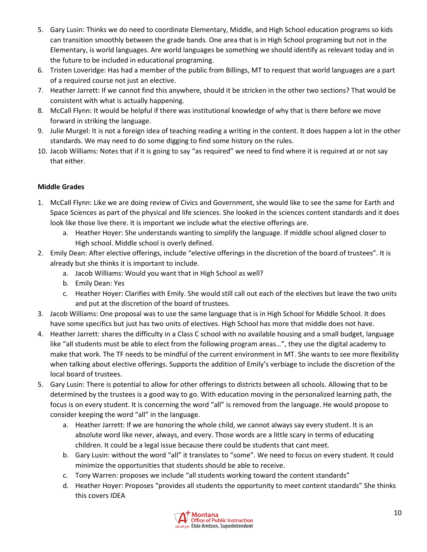- 5. Gary Lusin: Thinks we do need to coordinate Elementary, Middle, and High School education programs so kids can transition smoothly between the grade bands. One area that is in High School programing but not in the Elementary, is world languages. Are world languages be something we should identify as relevant today and in the future to be included in educational programing.
- 6. Tristen Loveridge: Has had a member of the public from Billings, MT to request that world languages are a part of a required course not just an elective.
- 7. Heather Jarrett: If we cannot find this anywhere, should it be stricken in the other two sections? That would be consistent with what is actually happening.
- 8. McCall Flynn: It would be helpful if there was institutional knowledge of why that is there before we move forward in striking the language.
- 9. Julie Murgel: It is not a foreign idea of teaching reading a writing in the content. It does happen a lot in the other standards. We may need to do some digging to find some history on the rules.
- 10. Jacob Williams: Notes that if it is going to say "as required" we need to find where it is required at or not say that either.

# **Middle Grades**

- 1. McCall Flynn: Like we are doing review of Civics and Government, she would like to see the same for Earth and Space Sciences as part of the physical and life sciences. She looked in the sciences content standards and it does look like those live there. It is important we include what the elective offerings are.
	- a. Heather Hoyer: She understands wanting to simplify the language. If middle school aligned closer to High school. Middle school is overly defined.
- 2. Emily Dean: After elective offerings, include "elective offerings in the discretion of the board of trustees". It is already but she thinks it is important to include.
	- a. Jacob Williams: Would you want that in High School as well?
	- b. Emily Dean: Yes
	- c. Heather Hoyer: Clarifies with Emily. She would still call out each of the electives but leave the two units and put at the discretion of the board of trustees.
- 3. Jacob Williams: One proposal was to use the same language that is in High School for Middle School. It does have some specifics but just has two units of electives. High School has more that middle does not have.
- 4. Heather Jarrett: shares the difficulty in a Class C school with no available housing and a small budget, language like "all students must be able to elect from the following program areas…", they use the digital academy to make that work. The TF needs to be mindful of the current environment in MT. She wants to see more flexibility when talking about elective offerings. Supports the addition of Emily's verbiage to include the discretion of the local board of trustees.
- 5. Gary Lusin: There is potential to allow for other offerings to districts between all schools. Allowing that to be determined by the trustees is a good way to go. With education moving in the personalized learning path, the focus is on every student. It is concerning the word "all" is removed from the language. He would propose to consider keeping the word "all" in the language.
	- a. Heather Jarrett: If we are honoring the whole child, we cannot always say every student. It is an absolute word like never, always, and every. Those words are a little scary in terms of educating children. It could be a legal issue because there could be students that cant meet.
	- b. Gary Lusin: without the word "all" it translates to "some". We need to focus on every student. It could minimize the opportunities that students should be able to receive.
	- c. Tony Warren: proposes we include "all students working toward the content standards"
	- d. Heather Hoyer: Proposes "provides all students the opportunity to meet content standards" She thinks this covers IDEA

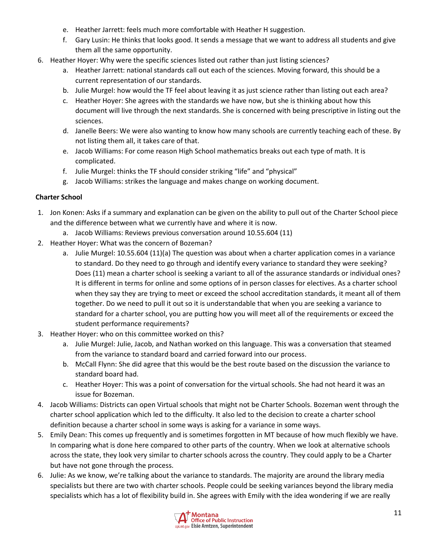- e. Heather Jarrett: feels much more comfortable with Heather H suggestion.
- f. Gary Lusin: He thinks that looks good. It sends a message that we want to address all students and give them all the same opportunity.
- 6. Heather Hoyer: Why were the specific sciences listed out rather than just listing sciences?
	- a. Heather Jarrett: national standards call out each of the sciences. Moving forward, this should be a current representation of our standards.
	- b. Julie Murgel: how would the TF feel about leaving it as just science rather than listing out each area?
	- c. Heather Hoyer: She agrees with the standards we have now, but she is thinking about how this document will live through the next standards. She is concerned with being prescriptive in listing out the sciences.
	- d. Janelle Beers: We were also wanting to know how many schools are currently teaching each of these. By not listing them all, it takes care of that.
	- e. Jacob Williams: For come reason High School mathematics breaks out each type of math. It is complicated.
	- f. Julie Murgel: thinks the TF should consider striking "life" and "physical"
	- g. Jacob Williams: strikes the language and makes change on working document.

### **Charter School**

- 1. Jon Konen: Asks if a summary and explanation can be given on the ability to pull out of the Charter School piece and the difference between what we currently have and where it is now.
	- a. Jacob Williams: Reviews previous conversation around 10.55.604 (11)
- 2. Heather Hoyer: What was the concern of Bozeman?
	- a. Julie Murgel: 10.55.604 (11)(a) The question was about when a charter application comes in a variance to standard. Do they need to go through and identify every variance to standard they were seeking? Does (11) mean a charter school is seeking a variant to all of the assurance standards or individual ones? It is different in terms for online and some options of in person classes for electives. As a charter school when they say they are trying to meet or exceed the school accreditation standards, it meant all of them together. Do we need to pull it out so it is understandable that when you are seeking a variance to standard for a charter school, you are putting how you will meet all of the requirements or exceed the student performance requirements?
- 3. Heather Hoyer: who on this committee worked on this?
	- a. Julie Murgel: Julie, Jacob, and Nathan worked on this language. This was a conversation that steamed from the variance to standard board and carried forward into our process.
	- b. McCall Flynn: She did agree that this would be the best route based on the discussion the variance to standard board had.
	- c. Heather Hoyer: This was a point of conversation for the virtual schools. She had not heard it was an issue for Bozeman.
- 4. Jacob Williams: Districts can open Virtual schools that might not be Charter Schools. Bozeman went through the charter school application which led to the difficulty. It also led to the decision to create a charter school definition because a charter school in some ways is asking for a variance in some ways.
- 5. Emily Dean: This comes up frequently and is sometimes forgotten in MT because of how much flexibly we have. In comparing what is done here compared to other parts of the country. When we look at alternative schools across the state, they look very similar to charter schools across the country. They could apply to be a Charter but have not gone through the process.
- 6. Julie: As we know, we're talking about the variance to standards. The majority are around the library media specialists but there are two with charter schools. People could be seeking variances beyond the library media specialists which has a lot of flexibility build in. She agrees with Emily with the idea wondering if we are really

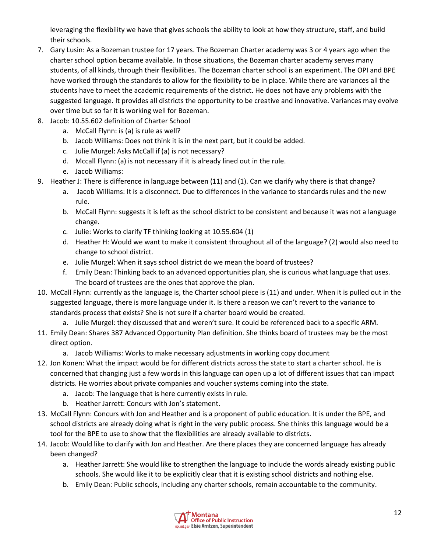leveraging the flexibility we have that gives schools the ability to look at how they structure, staff, and build their schools.

- 7. Gary Lusin: As a Bozeman trustee for 17 years. The Bozeman Charter academy was 3 or 4 years ago when the charter school option became available. In those situations, the Bozeman charter academy serves many students, of all kinds, through their flexibilities. The Bozeman charter school is an experiment. The OPI and BPE have worked through the standards to allow for the flexibility to be in place. While there are variances all the students have to meet the academic requirements of the district. He does not have any problems with the suggested language. It provides all districts the opportunity to be creative and innovative. Variances may evolve over time but so far it is working well for Bozeman.
- 8. Jacob: 10.55.602 definition of Charter School
	- a. McCall Flynn: is (a) is rule as well?
	- b. Jacob Williams: Does not think it is in the next part, but it could be added.
	- c. Julie Murgel: Asks McCall if (a) is not necessary?
	- d. Mccall Flynn: (a) is not necessary if it is already lined out in the rule.
	- e. Jacob Williams:
- 9. Heather J: There is difference in language between (11) and (1). Can we clarify why there is that change?
	- a. Jacob Williams: It is a disconnect. Due to differences in the variance to standards rules and the new rule.
	- b. McCall Flynn: suggests it is left as the school district to be consistent and because it was not a language change.
	- c. Julie: Works to clarify TF thinking looking at 10.55.604 (1)
	- d. Heather H: Would we want to make it consistent throughout all of the language? (2) would also need to change to school district.
	- e. Julie Murgel: When it says school district do we mean the board of trustees?
	- f. Emily Dean: Thinking back to an advanced opportunities plan, she is curious what language that uses. The board of trustees are the ones that approve the plan.
- 10. McCall Flynn: currently as the language is, the Charter school piece is (11) and under. When it is pulled out in the suggested language, there is more language under it. Is there a reason we can't revert to the variance to standards process that exists? She is not sure if a charter board would be created.
	- a. Julie Murgel: they discussed that and weren't sure. It could be referenced back to a specific ARM.
- 11. Emily Dean: Shares 387 Advanced Opportunity Plan definition. She thinks board of trustees may be the most direct option.
	- a. Jacob Williams: Works to make necessary adjustments in working copy document
- 12. Jon Konen: What the impact would be for different districts across the state to start a charter school. He is concerned that changing just a few words in this language can open up a lot of different issues that can impact districts. He worries about private companies and voucher systems coming into the state.
	- a. Jacob: The language that is here currently exists in rule.
	- b. Heather Jarrett: Concurs with Jon's statement.
- 13. McCall Flynn: Concurs with Jon and Heather and is a proponent of public education. It is under the BPE, and school districts are already doing what is right in the very public process. She thinks this language would be a tool for the BPE to use to show that the flexibilities are already available to districts.
- 14. Jacob: Would like to clarify with Jon and Heather. Are there places they are concerned language has already been changed?
	- a. Heather Jarrett: She would like to strengthen the language to include the words already existing public schools. She would like it to be explicitly clear that it is existing school districts and nothing else.
	- b. Emily Dean: Public schools, including any charter schools, remain accountable to the community.

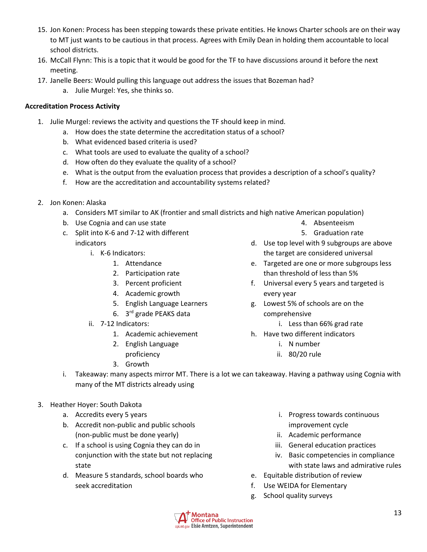- 15. Jon Konen: Process has been stepping towards these private entities. He knows Charter schools are on their way to MT just wants to be cautious in that process. Agrees with Emily Dean in holding them accountable to local school districts.
- 16. McCall Flynn: This is a topic that it would be good for the TF to have discussions around it before the next meeting.
- 17. Janelle Beers: Would pulling this language out address the issues that Bozeman had?
	- a. Julie Murgel: Yes, she thinks so.

### **Accreditation Process Activity**

- 1. Julie Murgel: reviews the activity and questions the TF should keep in mind.
	- a. How does the state determine the accreditation status of a school?
	- b. What evidenced based criteria is used?
	- c. What tools are used to evaluate the quality of a school?
	- d. How often do they evaluate the quality of a school?
	- e. What is the output from the evaluation process that provides a description of a school's quality?
	- f. How are the accreditation and accountability systems related?
- 2. Jon Konen: Alaska
	- a. Considers MT similar to AK (frontier and small districts and high native American population)
	- b. Use Cognia and can use state
	- c. Split into K-6 and 7-12 with different indicators
		- i. K-6 Indicators:
			- 1. Attendance
			- 2. Participation rate
			- 3. Percent proficient
			- 4. Academic growth
			- 5. English Language Learners
			- 6. 3 rd grade PEAKS data
		- ii. 7-12 Indicators:
			- 1. Academic achievement
			- 2. English Language
			- proficiency 3. Growth
- 4. Absenteeism
- 5. Graduation rate
- d. Use top level with 9 subgroups are above the target are considered universal
- e. Targeted are one or more subgroups less than threshold of less than 5%
- f. Universal every 5 years and targeted is every year
- g. Lowest 5% of schools are on the comprehensive
	- i. Less than 66% grad rate
- h. Have two different indicators
	- i. N number
	- ii. 80/20 rule
- i. Takeaway: many aspects mirror MT. There is a lot we can takeaway. Having a pathway using Cognia with many of the MT districts already using
- 3. Heather Hoyer: South Dakota
	- a. Accredits every 5 years
	- b. Accredit non-public and public schools (non-public must be done yearly)
	- c. If a school is using Cognia they can do in conjunction with the state but not replacing state
	- d. Measure 5 standards, school boards who seek accreditation
- i. Progress towards continuous improvement cycle
- ii. Academic performance
- iii. General education practices
- iv. Basic competencies in compliance with state laws and admirative rules
- e. Equitable distribution of review
- f. Use WEIDA for Elementary
- g. School quality surveys

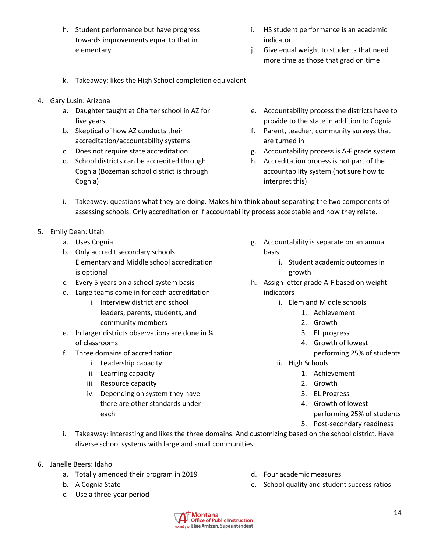- h. Student performance but have progress towards improvements equal to that in elementary
- i. HS student performance is an academic indicator
- j. Give equal weight to students that need more time as those that grad on time
- k. Takeaway: likes the High School completion equivalent
- 4. Gary Lusin: Arizona
	- a. Daughter taught at Charter school in AZ for five years
	- b. Skeptical of how AZ conducts their accreditation/accountability systems
	- c. Does not require state accreditation
	- d. School districts can be accredited through Cognia (Bozeman school district is through Cognia)
- e. Accountability process the districts have to provide to the state in addition to Cognia
- f. Parent, teacher, community surveys that are turned in
- g. Accountability process is A-F grade system
- h. Accreditation process is not part of the accountability system (not sure how to interpret this)
- i. Takeaway: questions what they are doing. Makes him think about separating the two components of assessing schools. Only accreditation or if accountability process acceptable and how they relate.
- 5. Emily Dean: Utah
	- a. Uses Cognia
	- b. Only accredit secondary schools. Elementary and Middle school accreditation is optional
	- c. Every 5 years on a school system basis
	- d. Large teams come in for each accreditation
		- i. Interview district and school leaders, parents, students, and community members
	- e. In larger districts observations are done in ¼ of classrooms
	- f. Three domains of accreditation
		- i. Leadership capacity
		- ii. Learning capacity
		- iii. Resource capacity
		- iv. Depending on system they have there are other standards under each
- g. Accountability is separate on an annual basis
	- i. Student academic outcomes in growth
- h. Assign letter grade A-F based on weight indicators
	- i. Elem and Middle schools
		- 1. Achievement
		- 2. Growth
		- 3. EL progress
		- 4. Growth of lowest
			- performing 25% of students
	- ii. High Schools
		- 1. Achievement
		- 2. Growth
		- 3. EL Progress
		- 4. Growth of lowest performing 25% of students
		- 5. Post-secondary readiness
- i. Takeaway: interesting and likes the three domains. And customizing based on the school district. Have diverse school systems with large and small communities.
- 6. Janelle Beers: Idaho
	- a. Totally amended their program in 2019
	- b. A Cognia State
	- c. Use a three-year period
- d. Four academic measures
- e. School quality and student success ratios

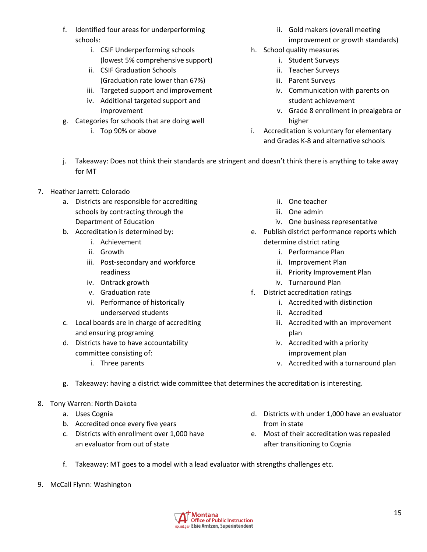- f. Identified four areas for underperforming schools:
	- i. CSIF Underperforming schools (lowest 5% comprehensive support)
	- ii. CSIF Graduation Schools (Graduation rate lower than 67%)
	- iii. Targeted support and improvement iv. Additional targeted support and
	- improvement
- g. Categories for schools that are doing well
	- i. Top 90% or above
- ii. Gold makers (overall meeting improvement or growth standards)
- h. School quality measures
	- i. Student Surveys
	- ii. Teacher Surveys
	- iii. Parent Surveys
	- iv. Communication with parents on student achievement
	- v. Grade 8 enrollment in prealgebra or higher
- i. Accreditation is voluntary for elementary and Grades K-8 and alternative schools
- j. Takeaway: Does not think their standards are stringent and doesn't think there is anything to take away for MT
- 7. Heather Jarrett: Colorado
	- a. Districts are responsible for accrediting schools by contracting through the Department of Education
	- b. Accreditation is determined by:
		- i. Achievement
		- ii. Growth
		- iii. Post-secondary and workforce readiness
		- iv. Ontrack growth
		- v. Graduation rate
		- vi. Performance of historically underserved students
	- c. Local boards are in charge of accrediting and ensuring programing
	- d. Districts have to have accountability committee consisting of:
		- i. Three parents
- ii. One teacher
- iii. One admin
- iv. One business representative
- e. Publish district performance reports which determine district rating
	- i. Performance Plan
	- ii. Improvement Plan
	- iii. Priority Improvement Plan
	- iv. Turnaround Plan
- f. District accreditation ratings
	- i. Accredited with distinction
	- ii. Accredited
	- iii. Accredited with an improvement plan
	- iv. Accredited with a priority improvement plan
	- v. Accredited with a turnaround plan
- g. Takeaway: having a district wide committee that determines the accreditation is interesting.
- 8. Tony Warren: North Dakota
	- a. Uses Cognia
	- b. Accredited once every five years
	- c. Districts with enrollment over 1,000 have an evaluator from out of state
- d. Districts with under 1,000 have an evaluator from in state
- e. Most of their accreditation was repealed after transitioning to Cognia
- f. Takeaway: MT goes to a model with a lead evaluator with strengths challenges etc.
- 9. McCall Flynn: Washington

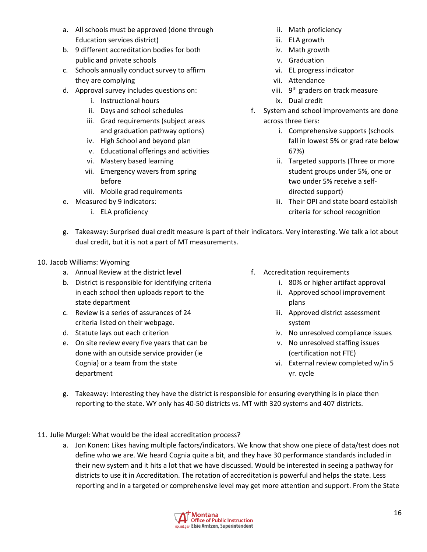- a. All schools must be approved (done through Education services district)
- b. 9 different accreditation bodies for both public and private schools
- c. Schools annually conduct survey to affirm they are complying
- d. Approval survey includes questions on:
	- i. Instructional hours
	- ii. Days and school schedules
	- iii. Grad requirements (subject areas and graduation pathway options)
	- iv. High School and beyond plan
	- v. Educational offerings and activities
	- vi. Mastery based learning
	- vii. Emergency wavers from spring before
	- viii. Mobile grad requirements
- e. Measured by 9 indicators:
	- i. ELA proficiency
- ii. Math proficiency
- iii. ELA growth
- iv. Math growth
- v. Graduation
- vi. EL progress indicator
- vii. Attendance
- viii. 9<sup>th</sup> graders on track measure
- ix. Dual credit
- f. System and school improvements are done across three tiers:
	- i. Comprehensive supports (schools fall in lowest 5% or grad rate below 67%)
	- ii. Targeted supports (Three or more student groups under 5%, one or two under 5% receive a selfdirected support)
	- iii. Their OPI and state board establish criteria for school recognition
- g. Takeaway: Surprised dual credit measure is part of their indicators. Very interesting. We talk a lot about dual credit, but it is not a part of MT measurements.
- 10. Jacob Williams: Wyoming
	- a. Annual Review at the district level
	- b. District is responsible for identifying criteria in each school then uploads report to the state department
	- c. Review is a series of assurances of 24 criteria listed on their webpage.
	- d. Statute lays out each criterion
	- e. On site review every five years that can be done with an outside service provider (ie Cognia) or a team from the state department
- f. Accreditation requirements
	- i. 80% or higher artifact approval
	- ii. Approved school improvement plans
	- iii. Approved district assessment system
	- iv. No unresolved compliance issues
	- v. No unresolved staffing issues (certification not FTE)
	- vi. External review completed w/in 5 yr. cycle
- g. Takeaway: Interesting they have the district is responsible for ensuring everything is in place then reporting to the state. WY only has 40-50 districts vs. MT with 320 systems and 407 districts.
- 11. Julie Murgel: What would be the ideal accreditation process?
	- a. Jon Konen: Likes having multiple factors/indicators. We know that show one piece of data/test does not define who we are. We heard Cognia quite a bit, and they have 30 performance standards included in their new system and it hits a lot that we have discussed. Would be interested in seeing a pathway for districts to use it in Accreditation. The rotation of accreditation is powerful and helps the state. Less reporting and in a targeted or comprehensive level may get more attention and support. From the State

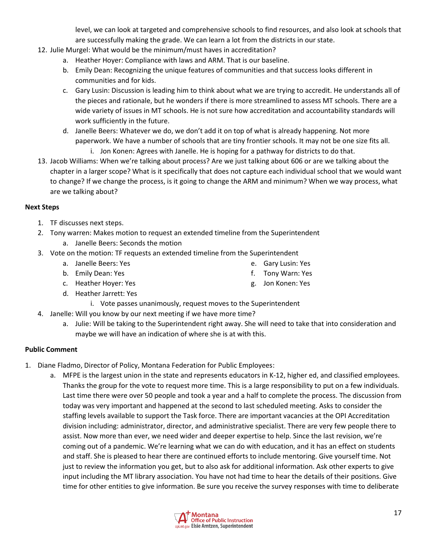level, we can look at targeted and comprehensive schools to find resources, and also look at schools that are successfully making the grade. We can learn a lot from the districts in our state.

- 12. Julie Murgel: What would be the minimum/must haves in accreditation?
	- a. Heather Hoyer: Compliance with laws and ARM. That is our baseline.
	- b. Emily Dean: Recognizing the unique features of communities and that success looks different in communities and for kids.
	- c. Gary Lusin: Discussion is leading him to think about what we are trying to accredit. He understands all of the pieces and rationale, but he wonders if there is more streamlined to assess MT schools. There are a wide variety of issues in MT schools. He is not sure how accreditation and accountability standards will work sufficiently in the future.
	- d. Janelle Beers: Whatever we do, we don't add it on top of what is already happening. Not more paperwork. We have a number of schools that are tiny frontier schools. It may not be one size fits all.
		- i. Jon Konen: Agrees with Janelle. He is hoping for a pathway for districts to do that.
- 13. Jacob Williams: When we're talking about process? Are we just talking about 606 or are we talking about the chapter in a larger scope? What is it specifically that does not capture each individual school that we would want to change? If we change the process, is it going to change the ARM and minimum? When we way process, what are we talking about?

#### **Next Steps**

- 1. TF discusses next steps.
- 2. Tony warren: Makes motion to request an extended timeline from the Superintendent
	- a. Janelle Beers: Seconds the motion
- 3. Vote on the motion: TF requests an extended timeline from the Superintendent
	- a. Janelle Beers: Yes e. Gary Lusin: Yes
	- b. Emily Dean: Yes
	- c. Heather Hoyer: Yes
	- d. Heather Jarrett: Yes
		- i. Vote passes unanimously, request moves to the Superintendent
- 4. Janelle: Will you know by our next meeting if we have more time?
	- a. Julie: Will be taking to the Superintendent right away. She will need to take that into consideration and maybe we will have an indication of where she is at with this.

f. Tony Warn: Yes g. Jon Konen: Yes

#### **Public Comment**

- 1. Diane Fladmo, Director of Policy, Montana Federation for Public Employees:
	- a. MFPE is the largest union in the state and represents educators in K-12, higher ed, and classified employees. Thanks the group for the vote to request more time. This is a large responsibility to put on a few individuals. Last time there were over 50 people and took a year and a half to complete the process. The discussion from today was very important and happened at the second to last scheduled meeting. Asks to consider the staffing levels available to support the Task force. There are important vacancies at the OPI Accreditation division including: administrator, director, and administrative specialist. There are very few people there to assist. Now more than ever, we need wider and deeper expertise to help. Since the last revision, we're coming out of a pandemic. We're learning what we can do with education, and it has an effect on students and staff. She is pleased to hear there are continued efforts to include mentoring. Give yourself time. Not just to review the information you get, but to also ask for additional information. Ask other experts to give input including the MT library association. You have not had time to hear the details of their positions. Give time for other entities to give information. Be sure you receive the survey responses with time to deliberate